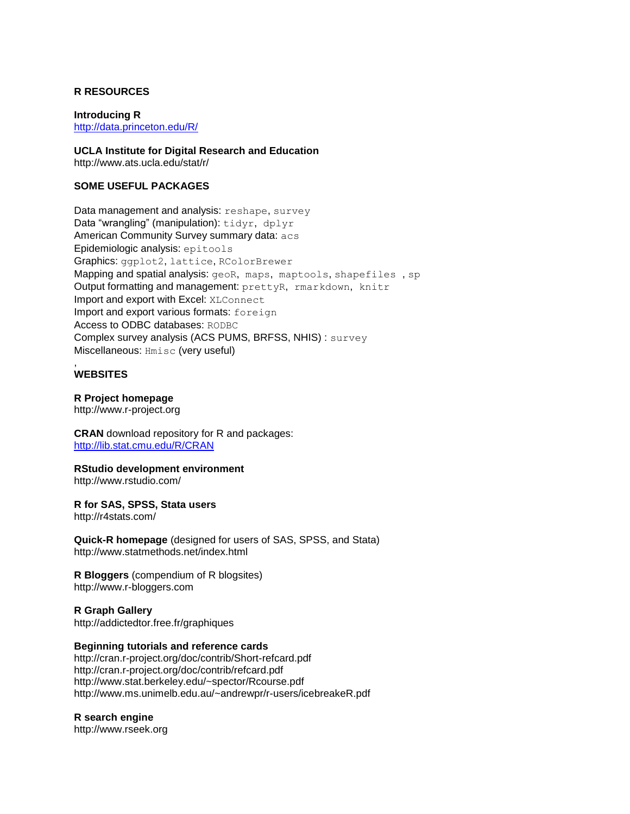## **R RESOURCES**

**Introducing R** <http://data.princeton.edu/R/>

**UCLA Institute for Digital Research and Education** http://www.ats.ucla.edu/stat/r/

## **SOME USEFUL PACKAGES**

Data management and analysis: reshape, survey Data "wrangling" (manipulation): tidyr, dplyr American Community Survey summary data: acs Epidemiologic analysis: epitools Graphics: ggplot2, lattice, RColorBrewer Mapping and spatial analysis: geoR, maps, maptools, shapefiles , sp Output formatting and management: prettyR, rmarkdown, knitr Import and export with Excel: XLConnect Import and export various formats: foreign Access to ODBC databases: RODBC Complex survey analysis (ACS PUMS, BRFSS, NHIS) : survey Miscellaneous: Hmisc (very useful) ,

# **WEBSITES**

### **R Project homepage**

http://www.r-project.org

**CRAN** download repository for R and packages: <http://lib.stat.cmu.edu/R/CRAN>

**RStudio development environment** http://www.rstudio.com/

**R for SAS, SPSS, Stata users** http://r4stats.com/

**Quick-R homepage** (designed for users of SAS, SPSS, and Stata) http://www.statmethods.net/index.html

**R Bloggers** (compendium of R blogsites) http://www.r-bloggers.com

**R Graph Gallery** http://addictedtor.free.fr/graphiques

#### **Beginning tutorials and reference cards**

http://cran.r-project.org/doc/contrib/Short-refcard.pdf http://cran.r-project.org/doc/contrib/refcard.pdf http://www.stat.berkeley.edu/~spector/Rcourse.pdf http://www.ms.unimelb.edu.au/~andrewpr/r-users/icebreakeR.pdf

### **R search engine**

http://www.rseek.org